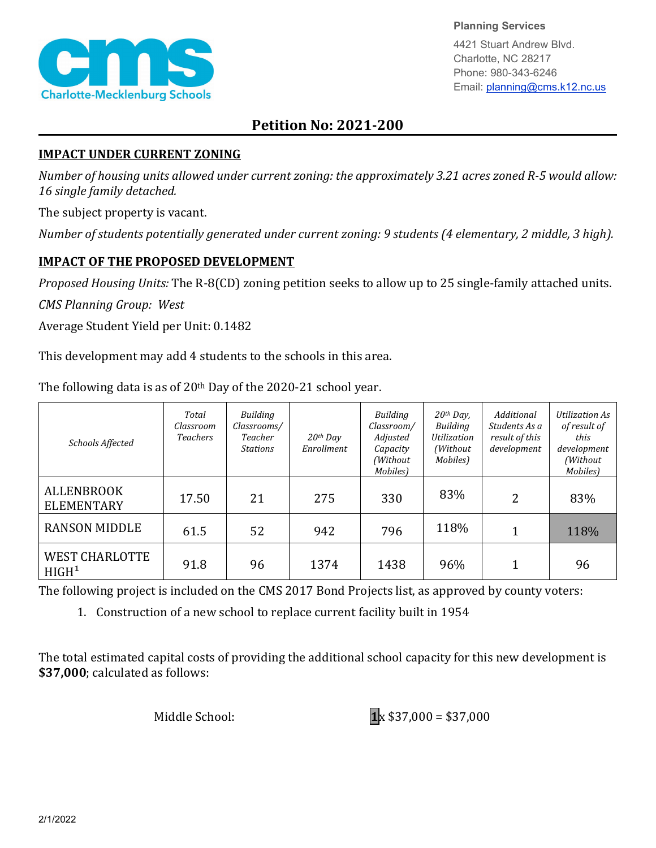

**Planning Services**

4421 Stuart Andrew Blvd. Charlotte, NC 28217 Phone: 980-343-6246 Email: planning@cms.k12.nc.us

## **Petition No: 2021-200**

## **IMPACT UNDER CURRENT ZONING**

*Number of housing units allowed under current zoning: the approximately 3.21 acres zoned R-5 would allow: 16 single family detached.*

The subject property is vacant.

*Number of students potentially generated under current zoning: 9 students (4 elementary, 2 middle, 3 high).*

## **IMPACT OF THE PROPOSED DEVELOPMENT**

*Proposed Housing Units:* The R-8(CD) zoning petition seeks to allow up to 25 single-family attached units.

*CMS Planning Group: West*

Average Student Yield per Unit: 0.1482

This development may add 4 students to the schools in this area.

The following data is as of  $20<sup>th</sup>$  Day of the 2020-21 school year.

| Schools Affected                              | Total<br>Classroom<br><b>Teachers</b> | Building<br>Classrooms/<br>Teacher<br><b>Stations</b> | $20$ <sup>th</sup> Day<br>Enrollment | Building<br>Classroom/<br>Adjusted<br>Capacity<br>(Without<br>Mobiles) | $20th$ Day,<br>Building<br><b>Utilization</b><br>(Without)<br>Mobiles) | Additional<br>Students As a<br>result of this<br>development | <b>Utilization As</b><br>of result of<br>this<br>development<br>(Without<br>Mobiles) |
|-----------------------------------------------|---------------------------------------|-------------------------------------------------------|--------------------------------------|------------------------------------------------------------------------|------------------------------------------------------------------------|--------------------------------------------------------------|--------------------------------------------------------------------------------------|
| <b>ALLENBROOK</b><br><b>ELEMENTARY</b>        | 17.50                                 | 21                                                    | 275                                  | 330                                                                    | 83%                                                                    | 2                                                            | 83%                                                                                  |
| <b>RANSON MIDDLE</b>                          | 61.5                                  | 52                                                    | 942                                  | 796                                                                    | 118%                                                                   |                                                              | 118%                                                                                 |
| <b>WEST CHARLOTTE</b><br>H I G H <sup>1</sup> | 91.8                                  | 96                                                    | 1374                                 | 1438                                                                   | 96%                                                                    |                                                              | 96                                                                                   |

The following project is included on the CMS 2017 Bond Projects list, as approved by county voters:

1. Construction of a new school to replace current facility built in 1954

The total estimated capital costs of providing the additional school capacity for this new development is **\$37,000**; calculated as follows: